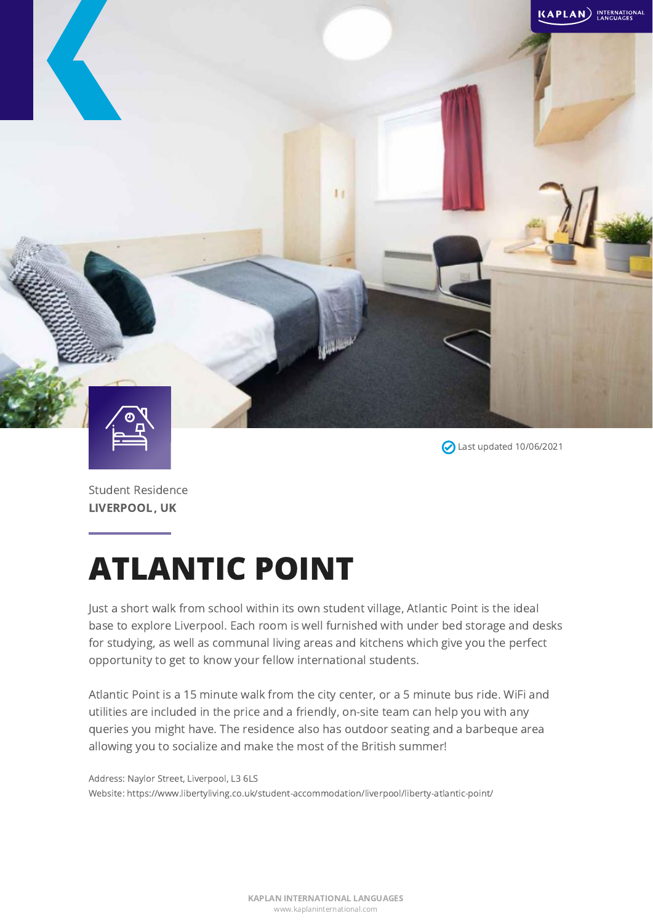

Student Residence

LIVERPOOL, UK

Last updated 10/06/2021

ATLANTIC POINT

Just a short walk from school within its own student village, Atlantic Point is the ideal base to explore Liverpool. Each room is well furnished with under bed storage and desks for studying, as well as communal living areas and kitchens which give you the perfect opportunity to get to know your fellow international students.

Atlantic Point is a 15 minute walk from the city center, or a 5 minute bus ride. WiFi and utilities are included in the price and a friendly, on-site team can help you with any queries you might have. The residence also has outdoor seating and a barbeque area allowing you to socialize and make the most of the British summer!

Address: Naylor Street, Liverpool, L3 6LS Website: https://www.libertyliving.co.uk/student-accommodation/liverpool/liberty-atlantic-point/